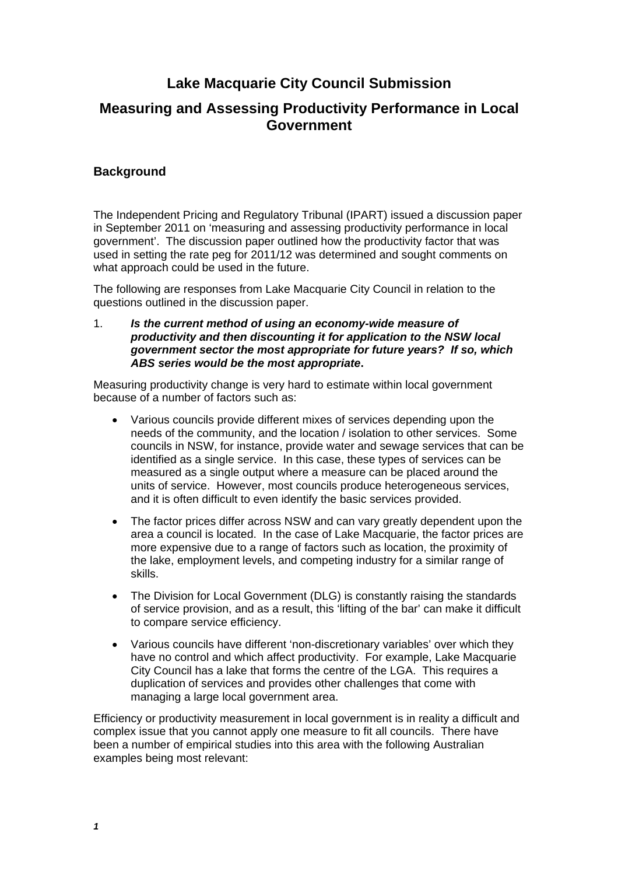# **Lake Macquarie City Council Submission**

# **Measuring and Assessing Productivity Performance in Local Government**

## **Background**

The Independent Pricing and Regulatory Tribunal (IPART) issued a discussion paper in September 2011 on 'measuring and assessing productivity performance in local government'. The discussion paper outlined how the productivity factor that was used in setting the rate peg for 2011/12 was determined and sought comments on what approach could be used in the future.

The following are responses from Lake Macquarie City Council in relation to the questions outlined in the discussion paper.

1. *Is the current method of using an economy-wide measure of productivity and then discounting it for application to the NSW local government sector the most appropriate for future years? If so, which ABS series would be the most appropriate***.** 

Measuring productivity change is very hard to estimate within local government because of a number of factors such as:

- Various councils provide different mixes of services depending upon the needs of the community, and the location / isolation to other services. Some councils in NSW, for instance, provide water and sewage services that can be identified as a single service. In this case, these types of services can be measured as a single output where a measure can be placed around the units of service. However, most councils produce heterogeneous services, and it is often difficult to even identify the basic services provided.
- The factor prices differ across NSW and can vary greatly dependent upon the area a council is located. In the case of Lake Macquarie, the factor prices are more expensive due to a range of factors such as location, the proximity of the lake, employment levels, and competing industry for a similar range of skills.
- The Division for Local Government (DLG) is constantly raising the standards of service provision, and as a result, this 'lifting of the bar' can make it difficult to compare service efficiency.
- Various councils have different 'non-discretionary variables' over which they have no control and which affect productivity. For example, Lake Macquarie City Council has a lake that forms the centre of the LGA. This requires a duplication of services and provides other challenges that come with managing a large local government area.

Efficiency or productivity measurement in local government is in reality a difficult and complex issue that you cannot apply one measure to fit all councils. There have been a number of empirical studies into this area with the following Australian examples being most relevant: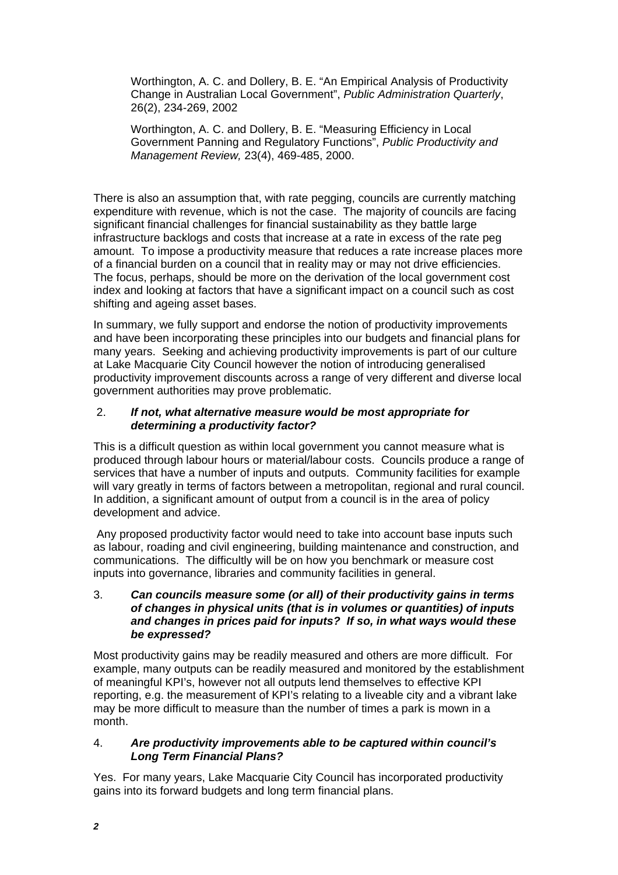Worthington, A. C. and Dollery, B. E. "An Empirical Analysis of Productivity Change in Australian Local Government", *Public Administration Quarterly*, 26(2), 234-269, 2002

Worthington, A. C. and Dollery, B. E. "Measuring Efficiency in Local Government Panning and Regulatory Functions", *Public Productivity and Management Review,* 23(4), 469-485, 2000.

There is also an assumption that, with rate pegging, councils are currently matching expenditure with revenue, which is not the case. The majority of councils are facing significant financial challenges for financial sustainability as they battle large infrastructure backlogs and costs that increase at a rate in excess of the rate peg amount. To impose a productivity measure that reduces a rate increase places more of a financial burden on a council that in reality may or may not drive efficiencies. The focus, perhaps, should be more on the derivation of the local government cost index and looking at factors that have a significant impact on a council such as cost shifting and ageing asset bases.

In summary, we fully support and endorse the notion of productivity improvements and have been incorporating these principles into our budgets and financial plans for many years. Seeking and achieving productivity improvements is part of our culture at Lake Macquarie City Council however the notion of introducing generalised productivity improvement discounts across a range of very different and diverse local government authorities may prove problematic.

#### 2. *If not, what alternative measure would be most appropriate for determining a productivity factor?*

This is a difficult question as within local government you cannot measure what is produced through labour hours or material/labour costs. Councils produce a range of services that have a number of inputs and outputs. Community facilities for example will vary greatly in terms of factors between a metropolitan, regional and rural council. In addition, a significant amount of output from a council is in the area of policy development and advice.

 Any proposed productivity factor would need to take into account base inputs such as labour, roading and civil engineering, building maintenance and construction, and communications. The difficultly will be on how you benchmark or measure cost inputs into governance, libraries and community facilities in general.

#### 3. *Can councils measure some (or all) of their productivity gains in terms of changes in physical units (that is in volumes or quantities) of inputs and changes in prices paid for inputs? If so, in what ways would these be expressed?*

Most productivity gains may be readily measured and others are more difficult. For example, many outputs can be readily measured and monitored by the establishment of meaningful KPI's, however not all outputs lend themselves to effective KPI reporting, e.g. the measurement of KPI's relating to a liveable city and a vibrant lake may be more difficult to measure than the number of times a park is mown in a month.

### 4. *Are productivity improvements able to be captured within council's Long Term Financial Plans?*

Yes. For many years, Lake Macquarie City Council has incorporated productivity gains into its forward budgets and long term financial plans.